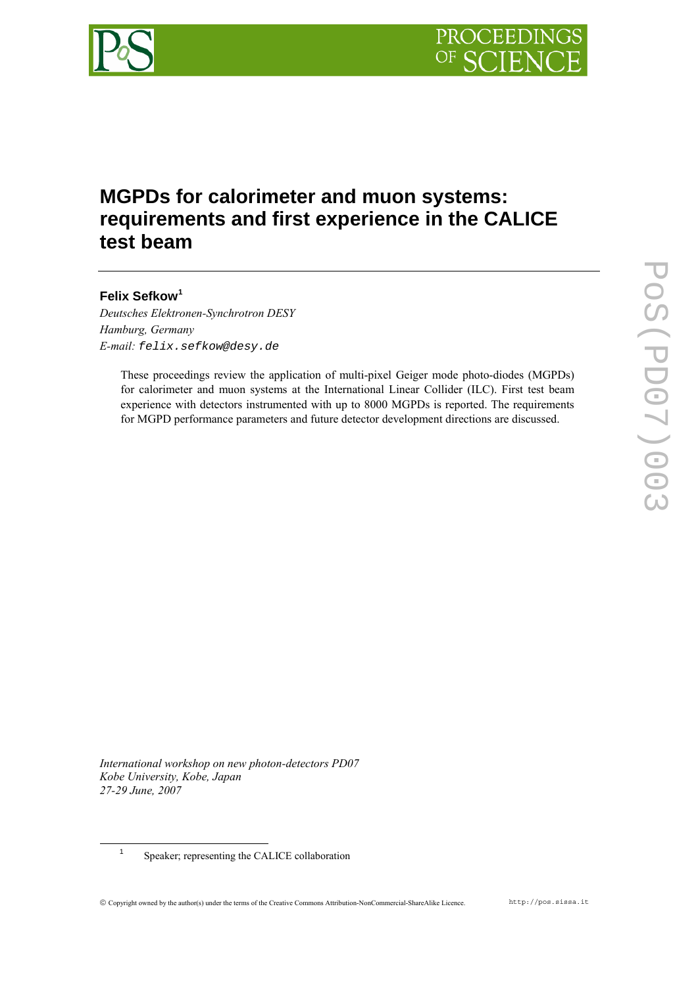

# **MGPDs for calorimeter and muon systems: requirements and first experience in the CALICE test beam**

# **Felix Sefkow[1](#page-0-0)**

*Deutsches Elektronen-Synchrotron DESY Hamburg, Germany E-mail: felix.sefkow@desy.de* 

> These proceedings review the application of multi-pixel Geiger mode photo-diodes (MGPDs) for calorimeter and muon systems at the International Linear Collider (ILC). First test beam experience with detectors instrumented with up to 8000 MGPDs is reported. The requirements for MGPD performance parameters and future detector development directions are discussed.

*International workshop on new photon-detectors PD07 Kobe University, Kobe, Japan 27-29 June, 2007*

<span id="page-0-0"></span><sup>1</sup> Speaker; representing the CALICE collaboration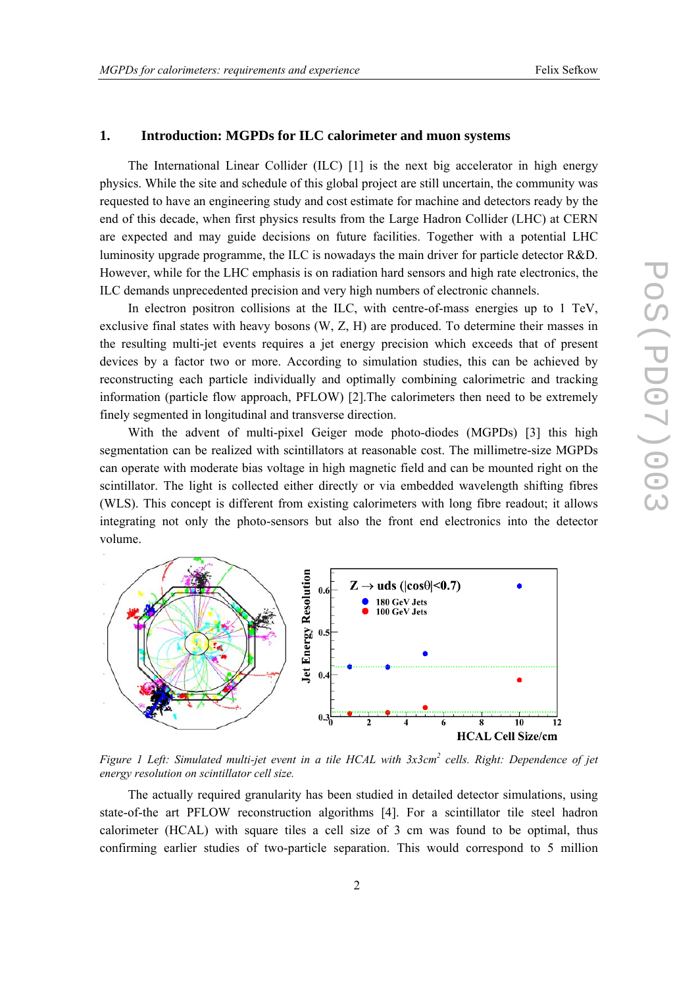#### **1. Introduction: MGPDs for ILC calorimeter and muon systems**

The International Linear Collider (ILC) [\[1\]](#page-8-0) is the next big accelerator in high energy physics. While the site and schedule of this global project are still uncertain, the community was requested to have an engineering study and cost estimate for machine and detectors ready by the end of this decade, when first physics results from the Large Hadron Collider (LHC) at CERN are expected and may guide decisions on future facilities. Together with a potential LHC luminosity upgrade programme, the ILC is nowadays the main driver for particle detector R&D. However, while for the LHC emphasis is on radiation hard sensors and high rate electronics, the ILC demands unprecedented precision and very high numbers of electronic channels.

In electron positron collisions at the ILC, with centre-of-mass energies up to 1 TeV, exclusive final states with heavy bosons (W, Z, H) are produced. To determine their masses in the resulting multi-jet events requires a jet energy precision which exceeds that of present devices by a factor two or more. According to simulation studies, this can be achieved by reconstructing each particle individually and optimally combining calorimetric and tracking information (particle flow approach, PFLOW) [\[2\].](#page-8-1)The calorimeters then need to be extremely finely segmented in longitudinal and transverse direction.

With the advent of multi-pixel Geiger mode photo-diodes (MGPDs) [\[3\]](#page-8-2) this high segmentation can be realized with scintillators at reasonable cost. The millimetre-size MGPDs can operate with moderate bias voltage in high magnetic field and can be mounted right on the scintillator. The light is collected either directly or via embedded wavelength shifting fibres (WLS). This concept is different from existing calorimeters with long fibre readout; it allows integrating not only the photo-sensors but also the front end electronics into the detector volume.



<span id="page-1-0"></span>Figure 1 Left: Simulated multi-jet event in a tile HCAL with 3x3cm<sup>2</sup> cells. Right: Dependence of jet *energy resolution on scintillator cell size.*

The actually required granularity has been studied in detailed detector simulations, using state-of-the art PFLOW reconstruction algorithms [\[4\].](#page-8-3) For a scintillator tile steel hadron calorimeter (HCAL) with square tiles a cell size of 3 cm was found to be optimal, thus confirming earlier studies of two-particle separation. This would correspond to 5 million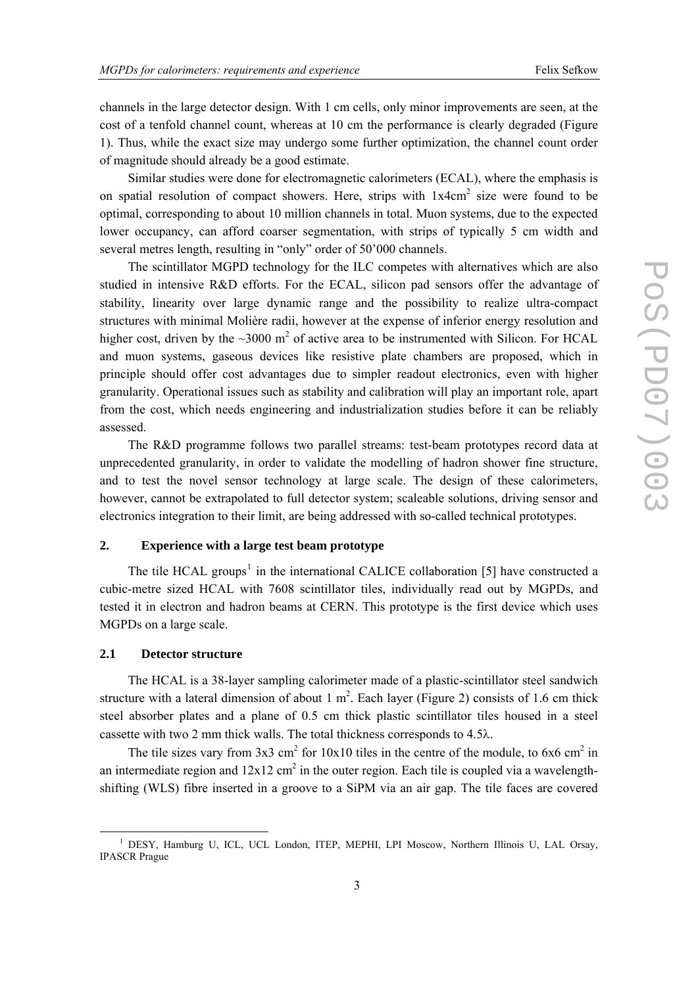channels in the large detector design. With 1 cm cells, only minor improvements are seen, at the cost of a tenfold channel count, whereas at 10 cm the performance is clearly degraded [\(Figure](#page-1-0)  [1\)](#page-1-0). Thus, while the exact size may undergo some further optimization, the channel count order of magnitude should already be a good estimate.

Similar studies were done for electromagnetic calorimeters (ECAL), where the emphasis is on spatial resolution of compact showers. Here, strips with  $1x4cm<sup>2</sup>$  size were found to be optimal, corresponding to about 10 million channels in total. Muon systems, due to the expected lower occupancy, can afford coarser segmentation, with strips of typically 5 cm width and several metres length, resulting in "only" order of 50'000 channels.

The scintillator MGPD technology for the ILC competes with alternatives which are also studied in intensive R&D efforts. For the ECAL, silicon pad sensors offer the advantage of stability, linearity over large dynamic range and the possibility to realize ultra-compact structures with minimal Molière radii, however at the expense of inferior energy resolution and higher cost, driven by the  $\sim$ 3000 m<sup>2</sup> of active area to be instrumented with Silicon. For HCAL and muon systems, gaseous devices like resistive plate chambers are proposed, which in principle should offer cost advantages due to simpler readout electronics, even with higher granularity. Operational issues such as stability and calibration will play an important role, apart from the cost, which needs engineering and industrialization studies before it can be reliably assessed.

The R&D programme follows two parallel streams: test-beam prototypes record data at unprecedented granularity, in order to validate the modelling of hadron shower fine structure, and to test the novel sensor technology at large scale. The design of these calorimeters, however, cannot be extrapolated to full detector system; scaleable solutions, driving sensor and electronics integration to their limit, are being addressed with so-called technical prototypes.

## **2. Experience with a large test beam prototype**

The tile HCAL groups<sup>[1](#page-2-0)</sup> in the international CALICE collaboration [\[5\]](#page-8-4) have constructed a cubic-metre sized HCAL with 7608 scintillator tiles, individually read out by MGPDs, and tested it in electron and hadron beams at CERN. This prototype is the first device which uses MGPDs on a large scale.

#### **2.1 Detector structure**

<u>.</u>

The HCAL is a 38-layer sampling calorimeter made of a plastic-scintillator steel sandwich structure with a lateral dimension of about 1  $m^2$ . Each layer [\(Figure 2\)](#page-3-0) consists of 1.6 cm thick steel absorber plates and a plane of 0.5 cm thick plastic scintillator tiles housed in a steel cassette with two 2 mm thick walls. The total thickness corresponds to 4.5λ.

The tile sizes vary from  $3x3$  cm<sup>2</sup> for  $10x10$  tiles in the centre of the module, to  $6x6$  cm<sup>2</sup> in an intermediate region and  $12x12$  cm<sup>2</sup> in the outer region. Each tile is coupled via a wavelengthshifting (WLS) fibre inserted in a groove to a SiPM via an air gap. The tile faces are covered

<span id="page-2-0"></span><sup>&</sup>lt;sup>1</sup> DESY, Hamburg U, ICL, UCL London, ITEP, MEPHI, LPI Moscow, Northern Illinois U, LAL Orsay, IPASCR Prague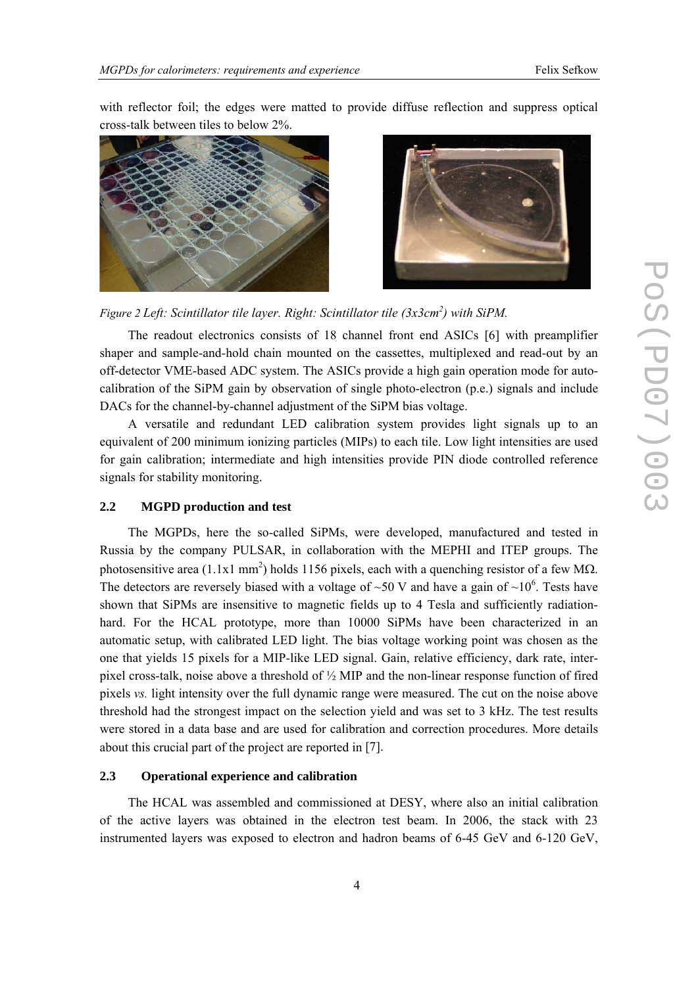with reflector foil; the edges were matted to provide diffuse reflection and suppress optical cross-talk between tiles to below 2%.





<span id="page-3-0"></span>Figure 2 Left: Scintillator tile layer. Right: Scintillator tile (3x3cm<sup>2</sup>) with SiPM.

The readout electronics consists of 18 channel front end ASICs [\[6\]](#page-8-5) with preamplifier shaper and sample-and-hold chain mounted on the cassettes, multiplexed and read-out by an off-detector VME-based ADC system. The ASICs provide a high gain operation mode for autocalibration of the SiPM gain by observation of single photo-electron (p.e.) signals and include DACs for the channel-by-channel adjustment of the SiPM bias voltage.

A versatile and redundant LED calibration system provides light signals up to an equivalent of 200 minimum ionizing particles (MIPs) to each tile. Low light intensities are used for gain calibration; intermediate and high intensities provide PIN diode controlled reference signals for stability monitoring.

# **2.2 MGPD production and test**

The MGPDs, here the so-called SiPMs, were developed, manufactured and tested in Russia by the company PULSAR, in collaboration with the MEPHI and ITEP groups. The photosensitive area (1.1x1 mm<sup>2</sup>) holds 1156 pixels, each with a quenching resistor of a few M $\Omega$ . The detectors are reversely biased with a voltage of  $\sim 50$  V and have a gain of  $\sim 10^6$ . Tests have shown that SiPMs are insensitive to magnetic fields up to 4 Tesla and sufficiently radiationhard. For the HCAL prototype, more than 10000 SiPMs have been characterized in an automatic setup, with calibrated LED light. The bias voltage working point was chosen as the one that yields 15 pixels for a MIP-like LED signal. Gain, relative efficiency, dark rate, interpixel cross-talk, noise above a threshold of ½ MIP and the non-linear response function of fired pixels *vs.* light intensity over the full dynamic range were measured. The cut on the noise above threshold had the strongest impact on the selection yield and was set to 3 kHz. The test results were stored in a data base and are used for calibration and correction procedures. More details about this crucial part of the project are reported in [\[7\]](#page-8-6).

# **2.3 Operational experience and calibration**

The HCAL was assembled and commissioned at DESY, where also an initial calibration of the active layers was obtained in the electron test beam. In 2006, the stack with 23 instrumented layers was exposed to electron and hadron beams of 6-45 GeV and 6-120 GeV,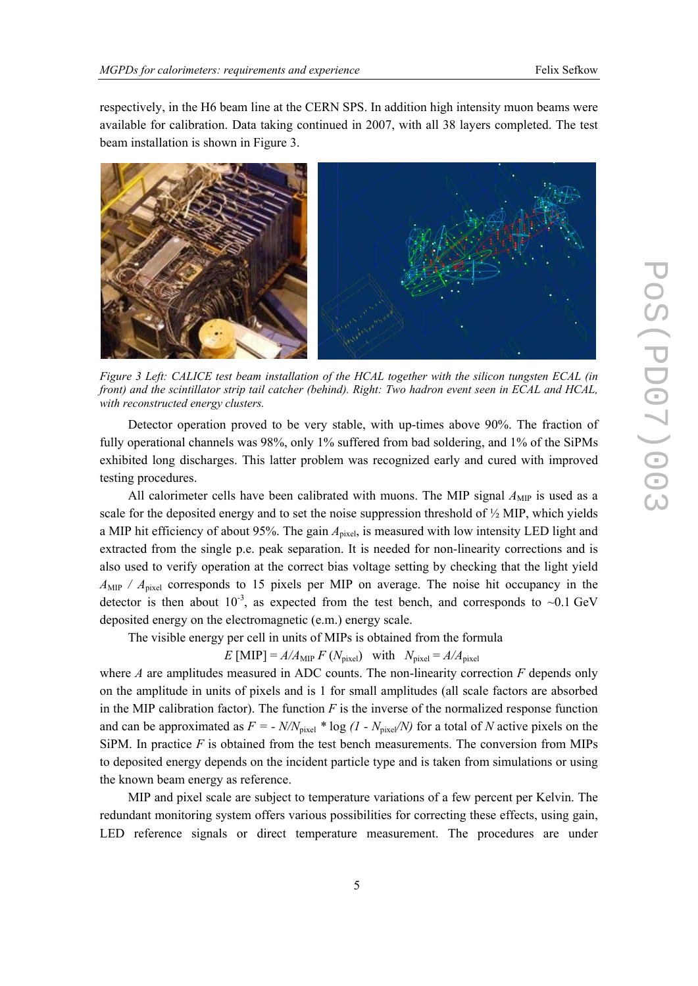respectively, in the H6 beam line at the CERN SPS. In addition high intensity muon beams were available for calibration. Data taking continued in 2007, with all 38 layers completed. The test beam installation is shown in [Figure 3](#page-4-0).



*Figure 3 Left: CALICE test beam installation of the HCAL together with the silicon tungsten ECAL (in front) and the scintillator strip tail catcher (behind). Right: Two hadron event seen in ECAL and HCAL, with reconstructed energy clusters.* 

<span id="page-4-0"></span>Detector operation proved to be very stable, with up-times above 90%. The fraction of fully operational channels was 98%, only 1% suffered from bad soldering, and 1% of the SiPMs exhibited long discharges. This latter problem was recognized early and cured with improved testing procedures.

All calorimeter cells have been calibrated with muons. The MIP signal  $A_{\text{MP}}$  is used as a scale for the deposited energy and to set the noise suppression threshold of ½ MIP, which yields a MIP hit efficiency of about 95%. The gain  $A<sub>pixel</sub>$ , is measured with low intensity LED light and extracted from the single p.e. peak separation. It is needed for non-linearity corrections and is also used to verify operation at the correct bias voltage setting by checking that the light yield  $A_{\text{MIP}}$  /  $A_{\text{pixel}}$  corresponds to 15 pixels per MIP on average. The noise hit occupancy in the detector is then about  $10^{-3}$ , as expected from the test bench, and corresponds to ~0.1 GeV deposited energy on the electromagnetic (e.m.) energy scale.

The visible energy per cell in units of MIPs is obtained from the formula

*E* [MIP] =  $A/A_{\text{MIP}} F (N_{\text{pixel}})$  with  $N_{\text{pixel}} = A/A_{\text{pixel}}$ 

where *A* are amplitudes measured in ADC counts. The non-linearity correction *F* depends only on the amplitude in units of pixels and is 1 for small amplitudes (all scale factors are absorbed in the MIP calibration factor). The function  $F$  is the inverse of the normalized response function and can be approximated as  $F = -N/N_{pixel} * log (1 - N_{pixel}/N)$  for a total of *N* active pixels on the SiPM. In practice  $F$  is obtained from the test bench measurements. The conversion from MIPs to deposited energy depends on the incident particle type and is taken from simulations or using the known beam energy as reference.

MIP and pixel scale are subject to temperature variations of a few percent per Kelvin. The redundant monitoring system offers various possibilities for correcting these effects, using gain, LED reference signals or direct temperature measurement. The procedures are under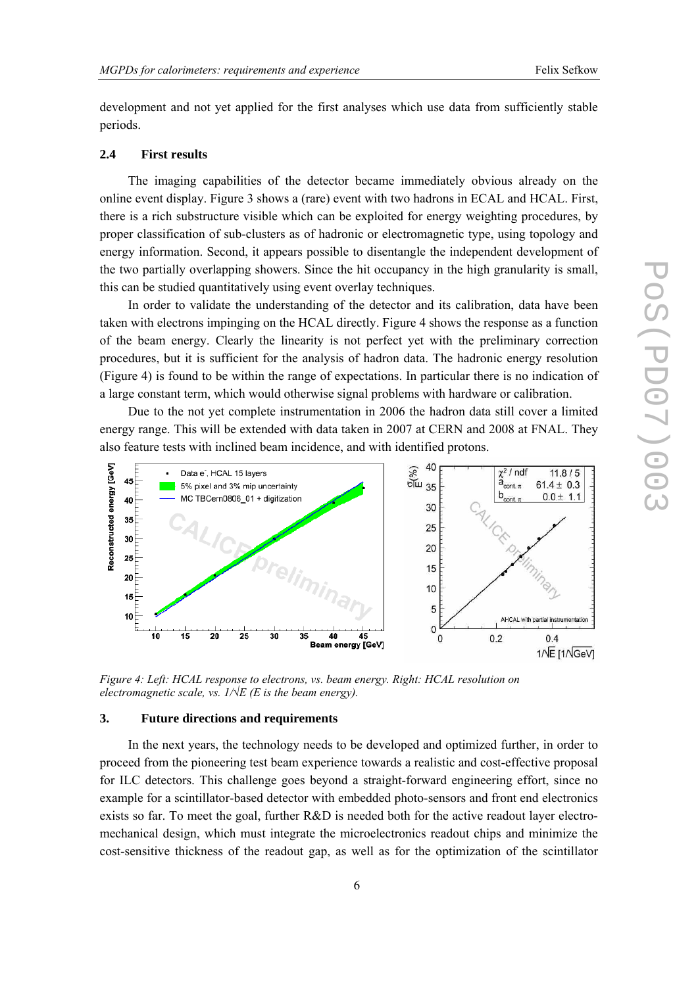development and not yet applied for the first analyses which use data from sufficiently stable periods.

#### **2.4 First results**

The imaging capabilities of the detector became immediately obvious already on the online event display. [Figure 3](#page-4-0) shows a (rare) event with two hadrons in ECAL and HCAL. First, there is a rich substructure visible which can be exploited for energy weighting procedures, by proper classification of sub-clusters as of hadronic or electromagnetic type, using topology and energy information. Second, it appears possible to disentangle the independent development of the two partially overlapping showers. Since the hit occupancy in the high granularity is small, this can be studied quantitatively using event overlay techniques.

In order to validate the understanding of the detector and its calibration, data have been taken with electrons impinging on the HCAL directly. [Figure 4](#page-5-0) shows the response as a function of the beam energy. Clearly the linearity is not perfect yet with the preliminary correction procedures, but it is sufficient for the analysis of hadron data. The hadronic energy resolution ([Figure 4](#page-5-0)) is found to be within the range of expectations. In particular there is no indication of a large constant term, which would otherwise signal problems with hardware or calibration.

Due to the not yet complete instrumentation in 2006 the hadron data still cover a limited energy range. This will be extended with data taken in 2007 at CERN and 2008 at FNAL. They also feature tests with inclined beam incidence, and with identified protons.



<span id="page-5-0"></span>*Figure 4: Left: HCAL response to electrons, vs. beam energy. Right: HCAL resolution on electromagnetic scale, vs. 1/√E (E is the beam energy).* 

#### **3. Future directions and requirements**

In the next years, the technology needs to be developed and optimized further, in order to proceed from the pioneering test beam experience towards a realistic and cost-effective proposal for ILC detectors. This challenge goes beyond a straight-forward engineering effort, since no example for a scintillator-based detector with embedded photo-sensors and front end electronics exists so far. To meet the goal, further R&D is needed both for the active readout layer electromechanical design, which must integrate the microelectronics readout chips and minimize the cost-sensitive thickness of the readout gap, as well as for the optimization of the scintillator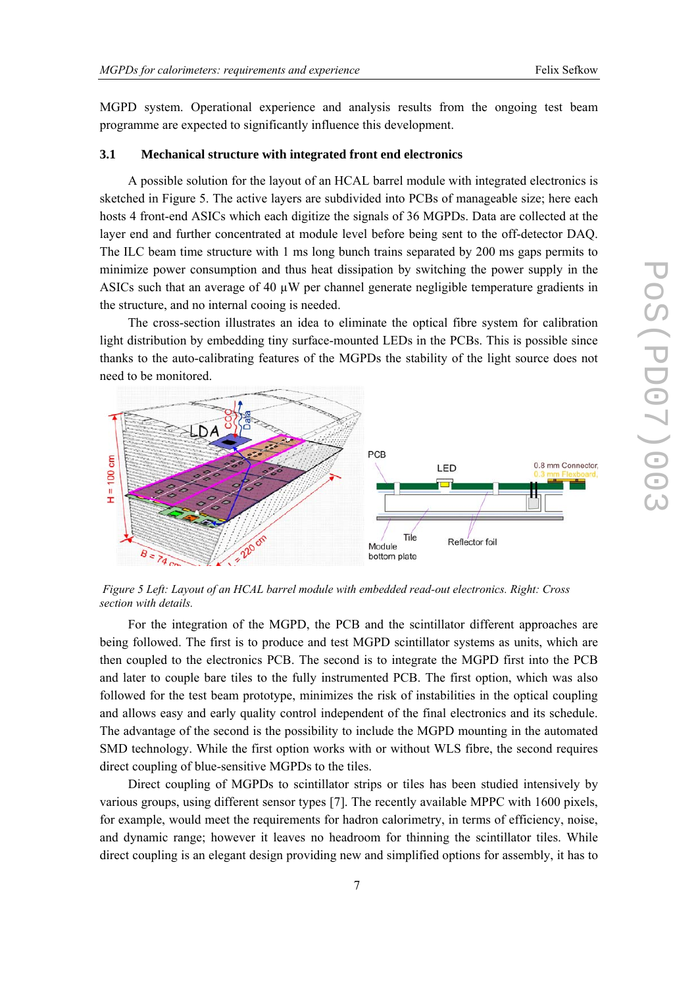MGPD system. Operational experience and analysis results from the ongoing test beam programme are expected to significantly influence this development.

#### **3.1 Mechanical structure with integrated front end electronics**

A possible solution for the layout of an HCAL barrel module with integrated electronics is sketched in [Figure 5.](#page-6-0) The active layers are subdivided into PCBs of manageable size; here each hosts 4 front-end ASICs which each digitize the signals of 36 MGPDs. Data are collected at the layer end and further concentrated at module level before being sent to the off-detector DAQ. The ILC beam time structure with 1 ms long bunch trains separated by 200 ms gaps permits to minimize power consumption and thus heat dissipation by switching the power supply in the ASICs such that an average of 40 µW per channel generate negligible temperature gradients in the structure, and no internal cooing is needed.

The cross-section illustrates an idea to eliminate the optical fibre system for calibration light distribution by embedding tiny surface-mounted LEDs in the PCBs. This is possible since thanks to the auto-calibrating features of the MGPDs the stability of the light source does not need to be monitored.



<span id="page-6-0"></span> *Figure 5 Left: Layout of an HCAL barrel module with embedded read-out electronics. Right: Cross section with details.* 

For the integration of the MGPD, the PCB and the scintillator different approaches are being followed. The first is to produce and test MGPD scintillator systems as units, which are then coupled to the electronics PCB. The second is to integrate the MGPD first into the PCB and later to couple bare tiles to the fully instrumented PCB. The first option, which was also followed for the test beam prototype, minimizes the risk of instabilities in the optical coupling and allows easy and early quality control independent of the final electronics and its schedule. The advantage of the second is the possibility to include the MGPD mounting in the automated SMD technology. While the first option works with or without WLS fibre, the second requires direct coupling of blue-sensitive MGPDs to the tiles.

direct coupling is an elegant design providing new and simplified options for assembly, it has to Direct coupling of MGPDs to scintillator strips or tiles has been studied intensively by various groups, using different sensor types [\[7\]](#page-8-6). The recently available MPPC with 1600 pixels, for example, would meet the requirements for hadron calorimetry, in terms of efficiency, noise, and dynamic range; however it leaves no headroom for thinning the scintillator tiles. While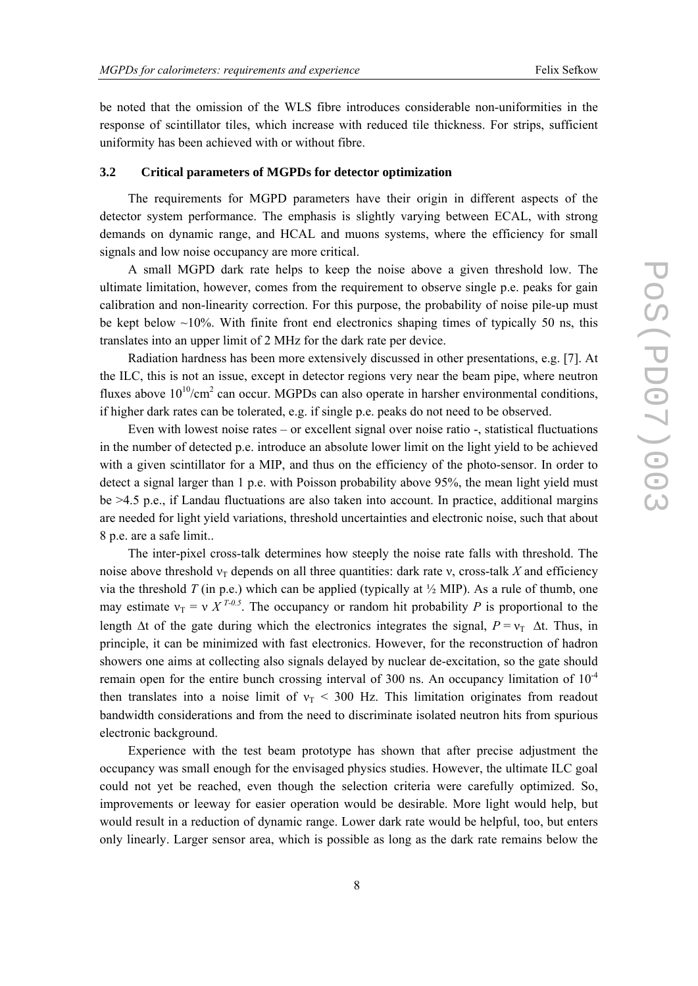be noted that the omission of the WLS fibre introduces considerable non-uniformities in the response of scintillator tiles, which increase with reduced tile thickness. For strips, sufficient uniformity has been achieved with or without fibre.

#### **3.2** Critical parameters of MGPDs for detector optimization

The requirements for MGPD parameters have their origin in different aspects of the detec tor system performance. The emphasis is slightly varying between ECAL, with strong demands on dynamic range, and HCAL and muons systems, where the efficiency for small signals and low noise occupancy are more critical.

A small MGPD dark rate helps to keep the noise above a given threshold low. The ultim ate limitation, however, comes from the requirement to observe single p.e. peaks for gain calibration and non-linearity correction. For this purpose, the probability of noise pile-up must be kept below  $\sim$ 10%. With finite front end electronics shaping times of typically 50 ns, this translates into an upper limit of 2 MHz for the dark rate per device.

Radiation hardness has been more extensively discussed in other presentations, e.g. [7]. At the IL C, this is not an issue, except in detector regions very near the beam pipe, where neutron fluxes above  $10^{10}/\text{cm}^2$  can occur. MGPDs can also operate in harsher environmental conditions, if higher dark rates can be tolerated, e.g. if single p.e. peaks do not need to be observed.

Even with lowest noise rates  $-$  or excellent signal over noise ratio  $-$ , statistical fluctuations in the number of detected p.e. introduce an absolute lower limit on the light yield to be achieved with a given scintillator for a MIP, and thus on the efficiency of the photo-sensor. In order to detect a signal larger than 1 p.e. with Poisson probability above 95%, the mean light yield must be >4.5 p.e., if Landau fluctuations are also taken into account. In practice, additional margins are needed for light yield variations, threshold uncertainties and electronic noise, such that about 8 p.e. are a safe limit..

The inter-pixel cross-talk determines how steeply the noise rate falls with threshold. The noise above threshold  $v_T$  depends on all three quantities: dark rate v, cross-talk X and efficiency via the threshold *T* (in p.e.) which can be applied (typically at  $\frac{1}{2}$  MIP). As a rule of thumb, one may estimate  $v_T = v X^{T-0.5}$ . The occupancy or random hit probability *P* is proportional to the length  $\Delta t$  of the gate during which the electronics integrates the signal,  $P = v_T \Delta t$ . Thus, in principle, it can be minimized with fast electronics. However, for the reconstruction of hadron showers one aims at collecting also signals delayed by nuclear de-excitation, so the gate should remain open for the entire bunch crossing interval of 300 ns. An occupancy limitation of  $10^{-4}$ then translates into a noise limit of  $v_T < 300$  Hz. This limitation originates from readout bandwidth considerations and from the need to discriminate isolated neutron hits from spurious electronic background.

Experience with the test beam prototype has shown that after precise adjustment the occup ancy was small enough for the envisaged physics studies. However, the ultimate ILC goal could not yet be reached, even though the selection criteria were carefully optimized. So, improvements or leeway for easier operation would be desirable. More light would help, but would result in a reduction of dynamic range. Lower dark rate would be helpful, too, but enters only linearly. Larger sensor area, which is possible as long as the dark rate remains below the